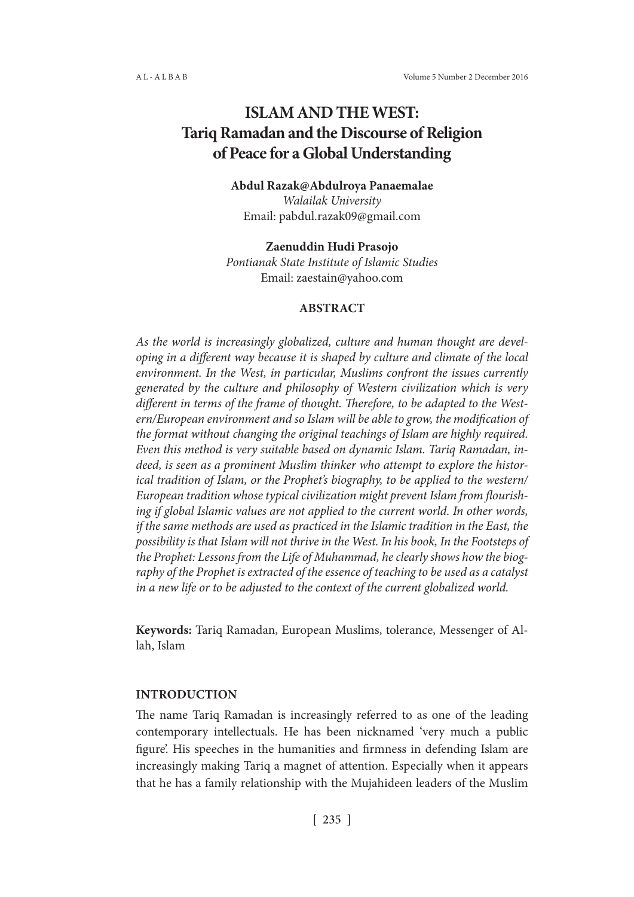# **ISLAM AND THE WEST: Tariq Ramadan and the Discourse of Religion of Peace for a Global Understanding**

# **Abdul Razak@Abdulroya Panaemalae**

*Walailak University* Email: pabdul.razak09@gmail.com

## **Zaenuddin Hudi Prasojo**

*Pontianak State Institute of Islamic Studies* Email: zaestain@yahoo.com

## **ABSTRACT**

*As the world is increasingly globalized, culture and human thought are developing in a different way because it is shaped by culture and climate of the local environment. In the West, in particular, Muslims confront the issues currently generated by the culture and philosophy of Western civilization which is very different in terms of the frame of thought. Therefore, to be adapted to the Western/European environment and so Islam will be able to grow, the modification of the format without changing the original teachings of Islam are highly required. Even this method is very suitable based on dynamic Islam. Tariq Ramadan, indeed, is seen as a prominent Muslim thinker who attempt to explore the historical tradition of Islam, or the Prophet's biography, to be applied to the western/ European tradition whose typical civilization might prevent Islam from flourishing if global Islamic values are not applied to the current world. In other words, if the same methods are used as practiced in the Islamic tradition in the East, the possibility is that Islam will not thrive in the West. In his book, In the Footsteps of the Prophet: Lessons from the Life of Muhammad, he clearly shows how the biography of the Prophet is extracted of the essence of teaching to be used as a catalyst in a new life or to be adjusted to the context of the current globalized world.*

**Keywords:** Tariq Ramadan, European Muslims, tolerance, Messenger of Allah, Islam

## **INTRODUCTION**

The name Tariq Ramadan is increasingly referred to as one of the leading contemporary intellectuals. He has been nicknamed 'very much a public figure'. His speeches in the humanities and firmness in defending Islam are increasingly making Tariq a magnet of attention. Especially when it appears that he has a family relationship with the Mujahideen leaders of the Muslim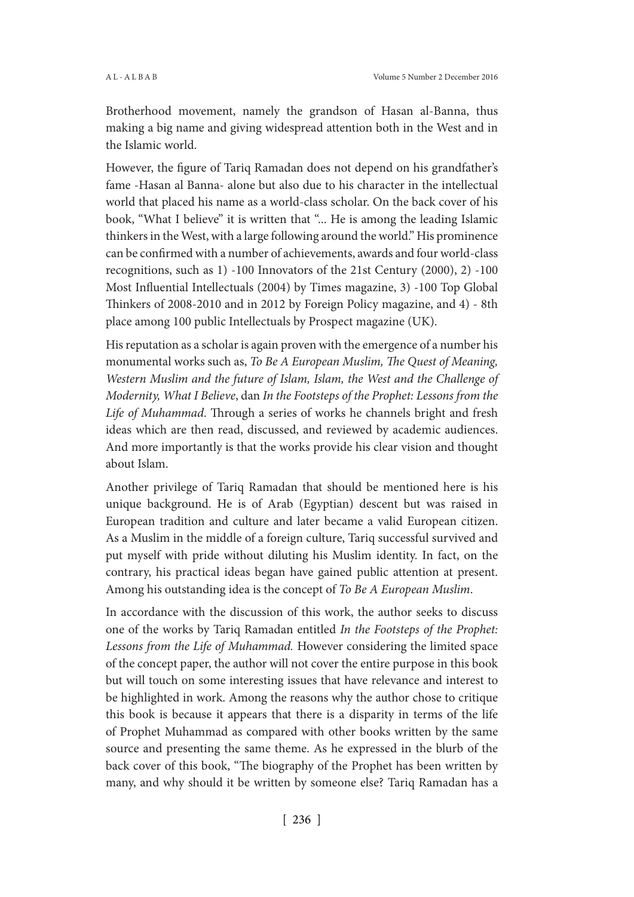Brotherhood movement, namely the grandson of Hasan al-Banna, thus making a big name and giving widespread attention both in the West and in the Islamic world.

However, the figure of Tariq Ramadan does not depend on his grandfather's fame -Hasan al Banna- alone but also due to his character in the intellectual world that placed his name as a world-class scholar. On the back cover of his book, "What I believe" it is written that "... He is among the leading Islamic thinkers in the West, with a large following around the world." His prominence can be confirmed with a number of achievements, awards and four world-class recognitions, such as 1) -100 Innovators of the 21st Century (2000), 2) -100 Most Influential Intellectuals (2004) by Times magazine, 3) -100 Top Global Thinkers of 2008-2010 and in 2012 by Foreign Policy magazine, and 4) - 8th place among 100 public Intellectuals by Prospect magazine (UK).

His reputation as a scholar is again proven with the emergence of a number his monumental works such as, *To Be A European Muslim, The Quest of Meaning, Western Muslim and the future of Islam, Islam, the West and the Challenge of Modernity, What I Believe*, dan *In the Footsteps of the Prophet: Lessons from the Life of Muhammad*. Through a series of works he channels bright and fresh ideas which are then read, discussed, and reviewed by academic audiences. And more importantly is that the works provide his clear vision and thought about Islam.

Another privilege of Tariq Ramadan that should be mentioned here is his unique background. He is of Arab (Egyptian) descent but was raised in European tradition and culture and later became a valid European citizen. As a Muslim in the middle of a foreign culture, Tariq successful survived and put myself with pride without diluting his Muslim identity. In fact, on the contrary, his practical ideas began have gained public attention at present. Among his outstanding idea is the concept of *To Be A European Muslim*.

In accordance with the discussion of this work, the author seeks to discuss one of the works by Tariq Ramadan entitled *In the Footsteps of the Prophet: Lessons from the Life of Muhammad.* However considering the limited space of the concept paper, the author will not cover the entire purpose in this book but will touch on some interesting issues that have relevance and interest to be highlighted in work. Among the reasons why the author chose to critique this book is because it appears that there is a disparity in terms of the life of Prophet Muhammad as compared with other books written by the same source and presenting the same theme. As he expressed in the blurb of the back cover of this book, "The biography of the Prophet has been written by many, and why should it be written by someone else? Tariq Ramadan has a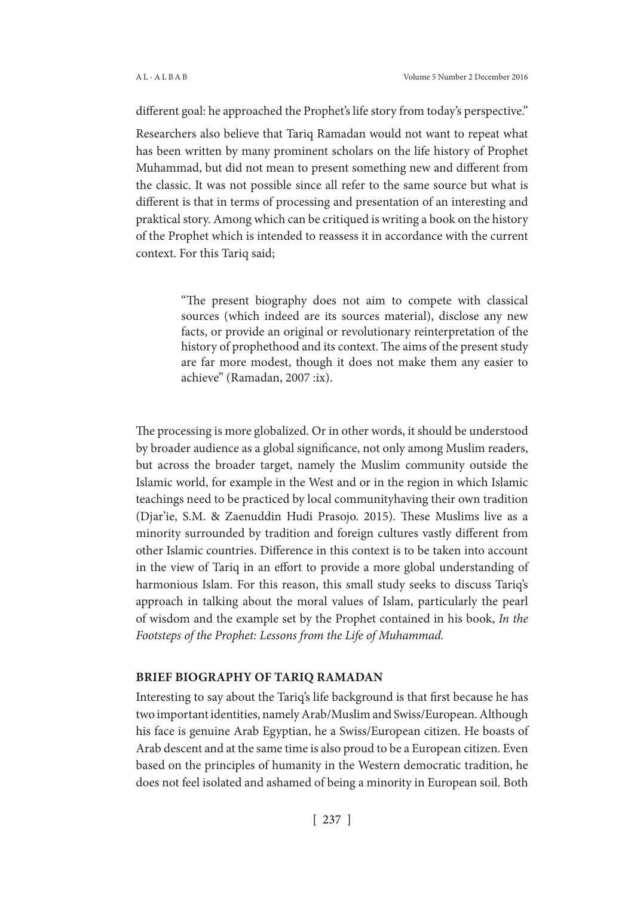different goal: he approached the Prophet's life story from today's perspective."

Researchers also believe that Tariq Ramadan would not want to repeat what has been written by many prominent scholars on the life history of Prophet Muhammad, but did not mean to present something new and different from the classic. It was not possible since all refer to the same source but what is different is that in terms of processing and presentation of an interesting and praktical story. Among which can be critiqued is writing a book on the history of the Prophet which is intended to reassess it in accordance with the current context. For this Tariq said;

> "The present biography does not aim to compete with classical sources (which indeed are its sources material), disclose any new facts, or provide an original or revolutionary reinterpretation of the history of prophethood and its context. The aims of the present study are far more modest, though it does not make them any easier to achieve" (Ramadan, 2007 :ix).

The processing is more globalized. Or in other words, it should be understood by broader audience as a global significance, not only among Muslim readers, but across the broader target, namely the Muslim community outside the Islamic world, for example in the West and or in the region in which Islamic teachings need to be practiced by local communityhaving their own tradition (Djar'ie, S.M. & Zaenuddin Hudi Prasojo. 2015). These Muslims live as a minority surrounded by tradition and foreign cultures vastly different from other Islamic countries. Difference in this context is to be taken into account in the view of Tariq in an effort to provide a more global understanding of harmonious Islam. For this reason, this small study seeks to discuss Tariq's approach in talking about the moral values of Islam, particularly the pearl of wisdom and the example set by the Prophet contained in his book, *In the Footsteps of the Prophet: Lessons from the Life of Muhammad.*

#### **BRIEF BIOGRAPHY OF TARIQ RAMADAN**

Interesting to say about the Tariq's life background is that first because he has two important identities, namely Arab/Muslim and Swiss/European. Although his face is genuine Arab Egyptian, he a Swiss/European citizen. He boasts of Arab descent and at the same time is also proud to be a European citizen. Even based on the principles of humanity in the Western democratic tradition, he does not feel isolated and ashamed of being a minority in European soil. Both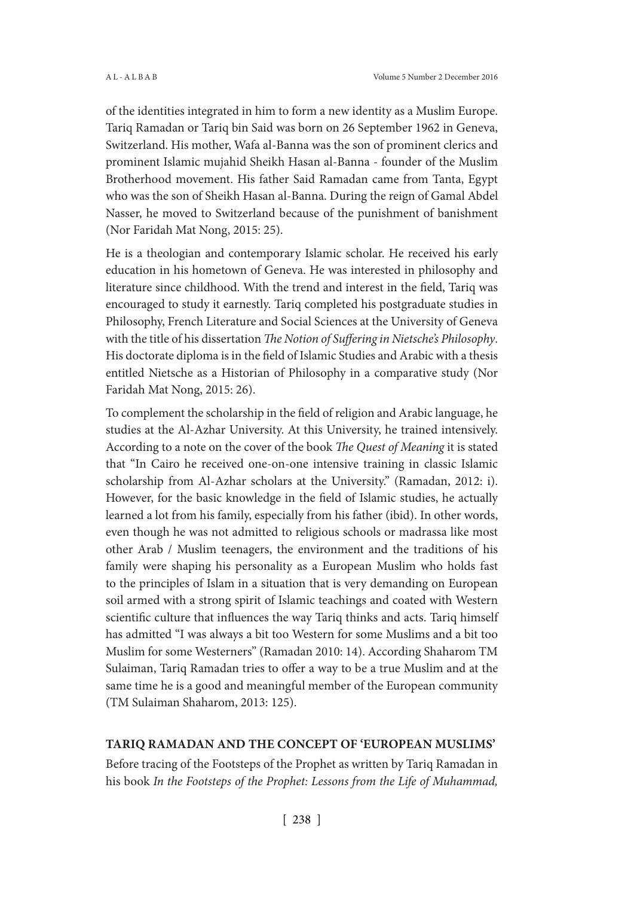of the identities integrated in him to form a new identity as a Muslim Europe. Tariq Ramadan or Tariq bin Said was born on 26 September 1962 in Geneva, Switzerland. His mother, Wafa al-Banna was the son of prominent clerics and prominent Islamic mujahid Sheikh Hasan al-Banna - founder of the Muslim Brotherhood movement. His father Said Ramadan came from Tanta, Egypt who was the son of Sheikh Hasan al-Banna. During the reign of Gamal Abdel Nasser, he moved to Switzerland because of the punishment of banishment (Nor Faridah Mat Nong, 2015: 25).

He is a theologian and contemporary Islamic scholar. He received his early education in his hometown of Geneva. He was interested in philosophy and literature since childhood. With the trend and interest in the field, Tariq was encouraged to study it earnestly. Tariq completed his postgraduate studies in Philosophy, French Literature and Social Sciences at the University of Geneva with the title of his dissertation *The Notion of Suffering in Nietsche's Philosophy*. His doctorate diploma is in the field of Islamic Studies and Arabic with a thesis entitled Nietsche as a Historian of Philosophy in a comparative study (Nor Faridah Mat Nong, 2015: 26).

To complement the scholarship in the field of religion and Arabic language, he studies at the Al-Azhar University. At this University, he trained intensively. According to a note on the cover of the book *The Quest of Meaning* it is stated that "In Cairo he received one-on-one intensive training in classic Islamic scholarship from Al-Azhar scholars at the University." (Ramadan, 2012: i). However, for the basic knowledge in the field of Islamic studies, he actually learned a lot from his family, especially from his father (ibid). In other words, even though he was not admitted to religious schools or madrassa like most other Arab / Muslim teenagers, the environment and the traditions of his family were shaping his personality as a European Muslim who holds fast to the principles of Islam in a situation that is very demanding on European soil armed with a strong spirit of Islamic teachings and coated with Western scientific culture that influences the way Tariq thinks and acts. Tariq himself has admitted "I was always a bit too Western for some Muslims and a bit too Muslim for some Westerners" (Ramadan 2010: 14). According Shaharom TM Sulaiman, Tariq Ramadan tries to offer a way to be a true Muslim and at the same time he is a good and meaningful member of the European community (TM Sulaiman Shaharom, 2013: 125).

#### **TARIQ RAMADAN AND THE CONCEPT OF 'EUROPEAN MUSLIMS'**

Before tracing of the Footsteps of the Prophet as written by Tariq Ramadan in his book *In the Footsteps of the Prophet: Lessons from the Life of Muhammad,*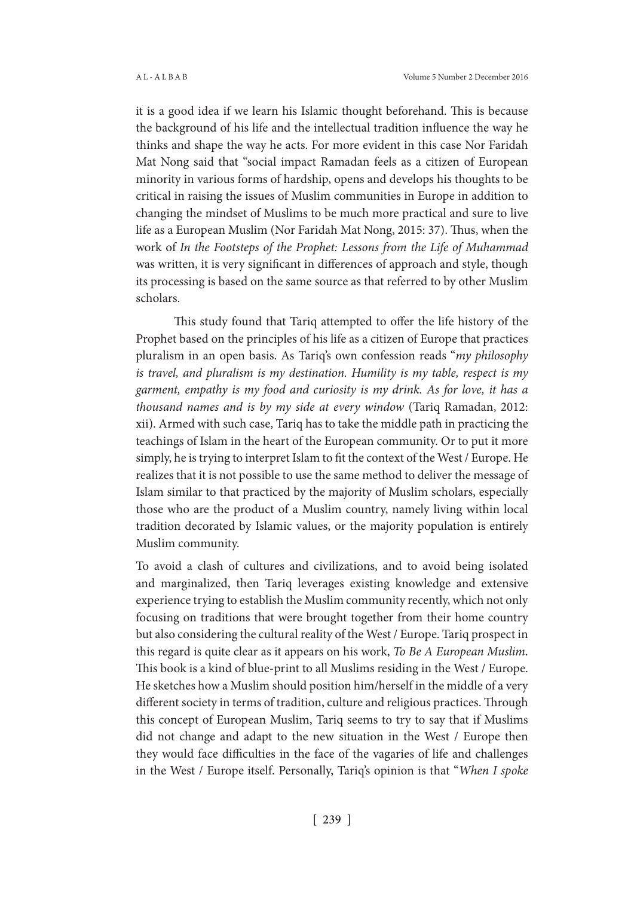it is a good idea if we learn his Islamic thought beforehand. This is because the background of his life and the intellectual tradition influence the way he thinks and shape the way he acts. For more evident in this case Nor Faridah Mat Nong said that "social impact Ramadan feels as a citizen of European minority in various forms of hardship, opens and develops his thoughts to be critical in raising the issues of Muslim communities in Europe in addition to changing the mindset of Muslims to be much more practical and sure to live life as a European Muslim (Nor Faridah Mat Nong, 2015: 37). Thus, when the work of *In the Footsteps of the Prophet: Lessons from the Life of Muhammad* was written, it is very significant in differences of approach and style, though its processing is based on the same source as that referred to by other Muslim scholars.

This study found that Tariq attempted to offer the life history of the Prophet based on the principles of his life as a citizen of Europe that practices pluralism in an open basis. As Tariq's own confession reads "*my philosophy is travel, and pluralism is my destination. Humility is my table, respect is my garment, empathy is my food and curiosity is my drink. As for love, it has a thousand names and is by my side at every window* (Tariq Ramadan, 2012: xii). Armed with such case, Tariq has to take the middle path in practicing the teachings of Islam in the heart of the European community. Or to put it more simply, he is trying to interpret Islam to fit the context of the West / Europe. He realizes that it is not possible to use the same method to deliver the message of Islam similar to that practiced by the majority of Muslim scholars, especially those who are the product of a Muslim country, namely living within local tradition decorated by Islamic values, or the majority population is entirely Muslim community.

To avoid a clash of cultures and civilizations, and to avoid being isolated and marginalized, then Tariq leverages existing knowledge and extensive experience trying to establish the Muslim community recently, which not only focusing on traditions that were brought together from their home country but also considering the cultural reality of the West / Europe. Tariq prospect in this regard is quite clear as it appears on his work, *To Be A European Muslim*. This book is a kind of blue-print to all Muslims residing in the West / Europe. He sketches how a Muslim should position him/herself in the middle of a very different society in terms of tradition, culture and religious practices. Through this concept of European Muslim, Tariq seems to try to say that if Muslims did not change and adapt to the new situation in the West / Europe then they would face difficulties in the face of the vagaries of life and challenges in the West / Europe itself. Personally, Tariq's opinion is that "*When I spoke*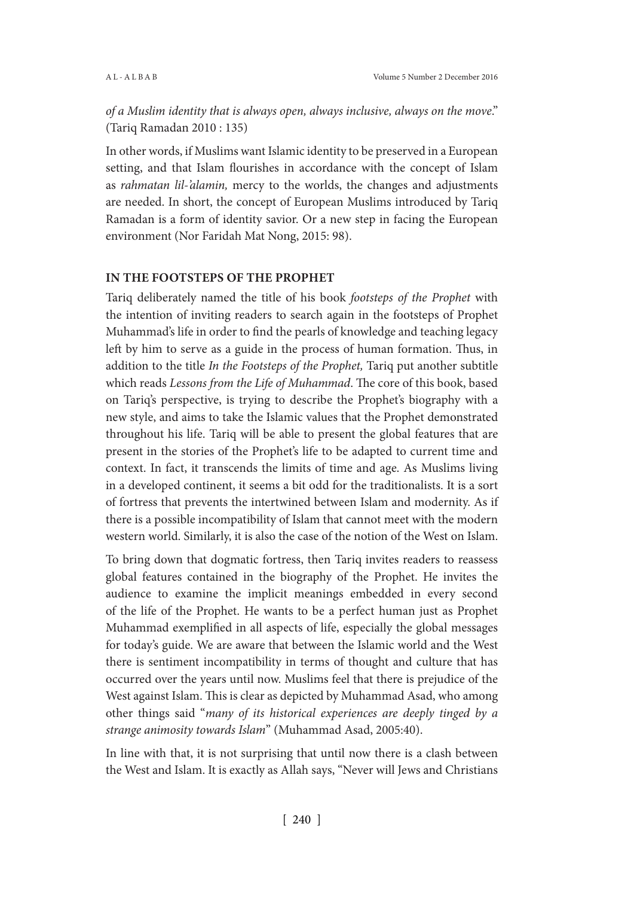*of a Muslim identity that is always open, always inclusive, always on the move*." (Tariq Ramadan 2010 : 135)

In other words, if Muslims want Islamic identity to be preserved in a European setting, and that Islam flourishes in accordance with the concept of Islam as *rahmatan lil-'alamin,* mercy to the worlds, the changes and adjustments are needed. In short, the concept of European Muslims introduced by Tariq Ramadan is a form of identity savior. Or a new step in facing the European environment (Nor Faridah Mat Nong, 2015: 98).

## **IN THE FOOTSTEPS OF THE PROPHET**

Tariq deliberately named the title of his book *footsteps of the Prophet* with the intention of inviting readers to search again in the footsteps of Prophet Muhammad's life in order to find the pearls of knowledge and teaching legacy left by him to serve as a guide in the process of human formation. Thus, in addition to the title *In the Footsteps of the Prophet,* Tariq put another subtitle which reads *Lessons from the Life of Muhammad*. The core of this book, based on Tariq's perspective, is trying to describe the Prophet's biography with a new style, and aims to take the Islamic values that the Prophet demonstrated throughout his life. Tariq will be able to present the global features that are present in the stories of the Prophet's life to be adapted to current time and context. In fact, it transcends the limits of time and age. As Muslims living in a developed continent, it seems a bit odd for the traditionalists. It is a sort of fortress that prevents the intertwined between Islam and modernity. As if there is a possible incompatibility of Islam that cannot meet with the modern western world. Similarly, it is also the case of the notion of the West on Islam.

To bring down that dogmatic fortress, then Tariq invites readers to reassess global features contained in the biography of the Prophet. He invites the audience to examine the implicit meanings embedded in every second of the life of the Prophet. He wants to be a perfect human just as Prophet Muhammad exemplified in all aspects of life, especially the global messages for today's guide. We are aware that between the Islamic world and the West there is sentiment incompatibility in terms of thought and culture that has occurred over the years until now. Muslims feel that there is prejudice of the West against Islam. This is clear as depicted by Muhammad Asad, who among other things said "*many of its historical experiences are deeply tinged by a strange animosity towards Islam*" (Muhammad Asad, 2005:40).

In line with that, it is not surprising that until now there is a clash between the West and Islam. It is exactly as Allah says, "Never will Jews and Christians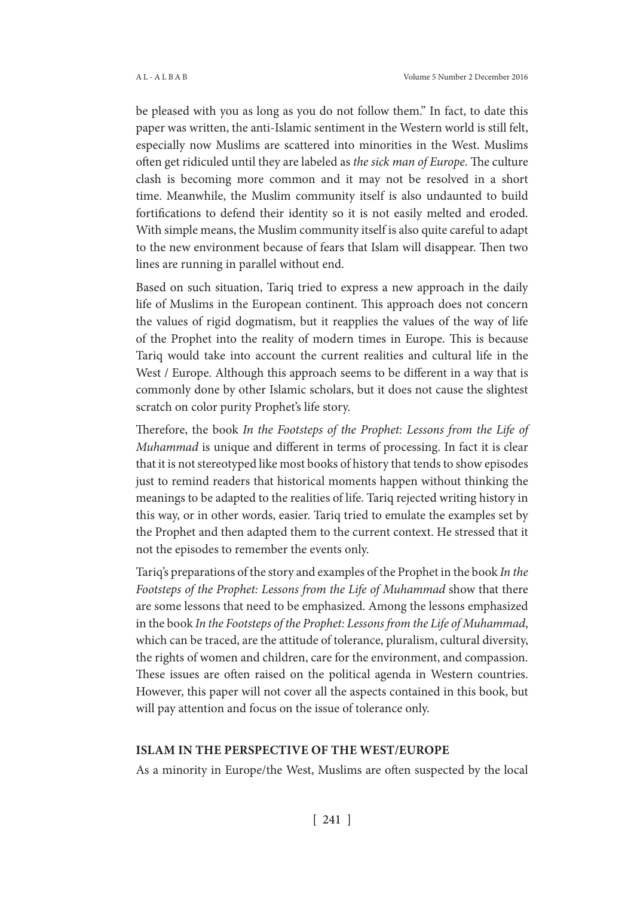be pleased with you as long as you do not follow them." In fact, to date this paper was written, the anti-Islamic sentiment in the Western world is still felt, especially now Muslims are scattered into minorities in the West. Muslims often get ridiculed until they are labeled as *the sick man of Europe*. The culture clash is becoming more common and it may not be resolved in a short time. Meanwhile, the Muslim community itself is also undaunted to build fortifications to defend their identity so it is not easily melted and eroded. With simple means, the Muslim community itself is also quite careful to adapt to the new environment because of fears that Islam will disappear. Then two lines are running in parallel without end.

Based on such situation, Tariq tried to express a new approach in the daily life of Muslims in the European continent. This approach does not concern the values of rigid dogmatism, but it reapplies the values of the way of life of the Prophet into the reality of modern times in Europe. This is because Tariq would take into account the current realities and cultural life in the West / Europe. Although this approach seems to be different in a way that is commonly done by other Islamic scholars, but it does not cause the slightest scratch on color purity Prophet's life story.

Therefore, the book *In the Footsteps of the Prophet: Lessons from the Life of Muhammad* is unique and different in terms of processing. In fact it is clear that it is not stereotyped like most books of history that tends to show episodes just to remind readers that historical moments happen without thinking the meanings to be adapted to the realities of life. Tariq rejected writing history in this way, or in other words, easier. Tariq tried to emulate the examples set by the Prophet and then adapted them to the current context. He stressed that it not the episodes to remember the events only.

Tariq's preparations of the story and examples of the Prophet in the book *In the Footsteps of the Prophet: Lessons from the Life of Muhammad* show that there are some lessons that need to be emphasized. Among the lessons emphasized in the book *In the Footsteps of the Prophet: Lessons from the Life of Muhammad*, which can be traced, are the attitude of tolerance, pluralism, cultural diversity, the rights of women and children, care for the environment, and compassion. These issues are often raised on the political agenda in Western countries. However, this paper will not cover all the aspects contained in this book, but will pay attention and focus on the issue of tolerance only.

#### **ISLAM IN THE PERSPECTIVE OF THE WEST/EUROPE**

As a minority in Europe/the West, Muslims are often suspected by the local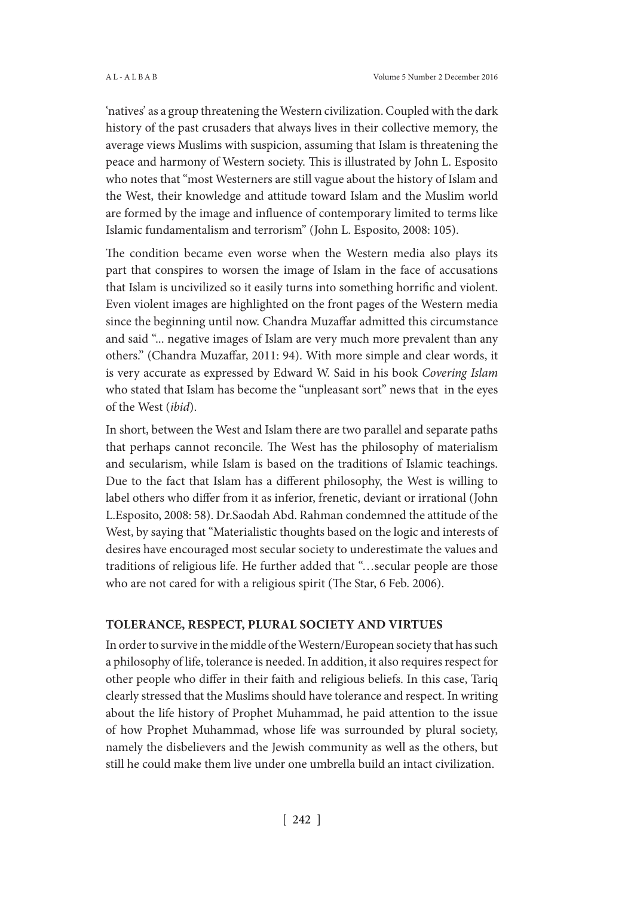'natives' as a group threatening the Western civilization. Coupled with the dark history of the past crusaders that always lives in their collective memory, the average views Muslims with suspicion, assuming that Islam is threatening the peace and harmony of Western society. This is illustrated by John L. Esposito who notes that "most Westerners are still vague about the history of Islam and the West, their knowledge and attitude toward Islam and the Muslim world are formed by the image and influence of contemporary limited to terms like Islamic fundamentalism and terrorism" (John L. Esposito, 2008: 105).

The condition became even worse when the Western media also plays its part that conspires to worsen the image of Islam in the face of accusations that Islam is uncivilized so it easily turns into something horrific and violent. Even violent images are highlighted on the front pages of the Western media since the beginning until now. Chandra Muzaffar admitted this circumstance and said "... negative images of Islam are very much more prevalent than any others." (Chandra Muzaffar, 2011: 94). With more simple and clear words, it is very accurate as expressed by Edward W. Said in his book *Covering Islam* who stated that Islam has become the "unpleasant sort" news that in the eyes of the West (*ibid*).

In short, between the West and Islam there are two parallel and separate paths that perhaps cannot reconcile. The West has the philosophy of materialism and secularism, while Islam is based on the traditions of Islamic teachings. Due to the fact that Islam has a different philosophy, the West is willing to label others who differ from it as inferior, frenetic, deviant or irrational (John L.Esposito, 2008: 58). Dr.Saodah Abd. Rahman condemned the attitude of the West, by saying that "Materialistic thoughts based on the logic and interests of desires have encouraged most secular society to underestimate the values and traditions of religious life. He further added that "…secular people are those who are not cared for with a religious spirit (The Star, 6 Feb. 2006).

#### **TOLERANCE, RESPECT, PLURAL SOCIETY AND VIRTUES**

In order to survive in the middle of the Western/European society that has such a philosophy of life, tolerance is needed. In addition, it also requires respect for other people who differ in their faith and religious beliefs. In this case, Tariq clearly stressed that the Muslims should have tolerance and respect. In writing about the life history of Prophet Muhammad, he paid attention to the issue of how Prophet Muhammad, whose life was surrounded by plural society, namely the disbelievers and the Jewish community as well as the others, but still he could make them live under one umbrella build an intact civilization.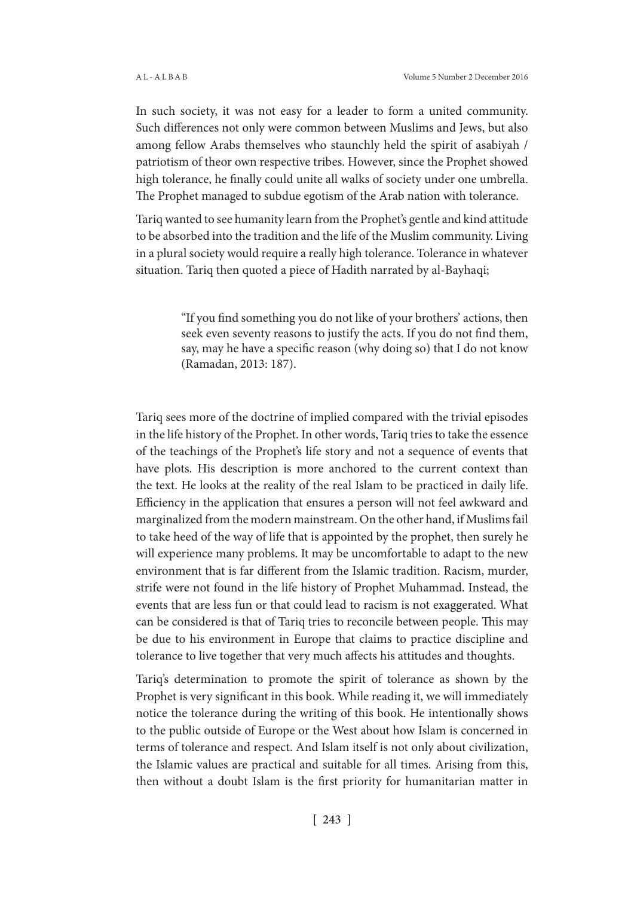In such society, it was not easy for a leader to form a united community. Such differences not only were common between Muslims and Jews, but also among fellow Arabs themselves who staunchly held the spirit of asabiyah / patriotism of theor own respective tribes. However, since the Prophet showed high tolerance, he finally could unite all walks of society under one umbrella. The Prophet managed to subdue egotism of the Arab nation with tolerance.

Tariq wanted to see humanity learn from the Prophet's gentle and kind attitude to be absorbed into the tradition and the life of the Muslim community. Living in a plural society would require a really high tolerance. Tolerance in whatever situation. Tariq then quoted a piece of Hadith narrated by al-Bayhaqi;

> "If you find something you do not like of your brothers' actions, then seek even seventy reasons to justify the acts. If you do not find them, say, may he have a specific reason (why doing so) that I do not know (Ramadan, 2013: 187).

Tariq sees more of the doctrine of implied compared with the trivial episodes in the life history of the Prophet. In other words, Tariq tries to take the essence of the teachings of the Prophet's life story and not a sequence of events that have plots. His description is more anchored to the current context than the text. He looks at the reality of the real Islam to be practiced in daily life. Efficiency in the application that ensures a person will not feel awkward and marginalized from the modern mainstream. On the other hand, if Muslims fail to take heed of the way of life that is appointed by the prophet, then surely he will experience many problems. It may be uncomfortable to adapt to the new environment that is far different from the Islamic tradition. Racism, murder, strife were not found in the life history of Prophet Muhammad. Instead, the events that are less fun or that could lead to racism is not exaggerated. What can be considered is that of Tariq tries to reconcile between people. This may be due to his environment in Europe that claims to practice discipline and tolerance to live together that very much affects his attitudes and thoughts.

Tariq's determination to promote the spirit of tolerance as shown by the Prophet is very significant in this book. While reading it, we will immediately notice the tolerance during the writing of this book. He intentionally shows to the public outside of Europe or the West about how Islam is concerned in terms of tolerance and respect. And Islam itself is not only about civilization, the Islamic values are practical and suitable for all times. Arising from this, then without a doubt Islam is the first priority for humanitarian matter in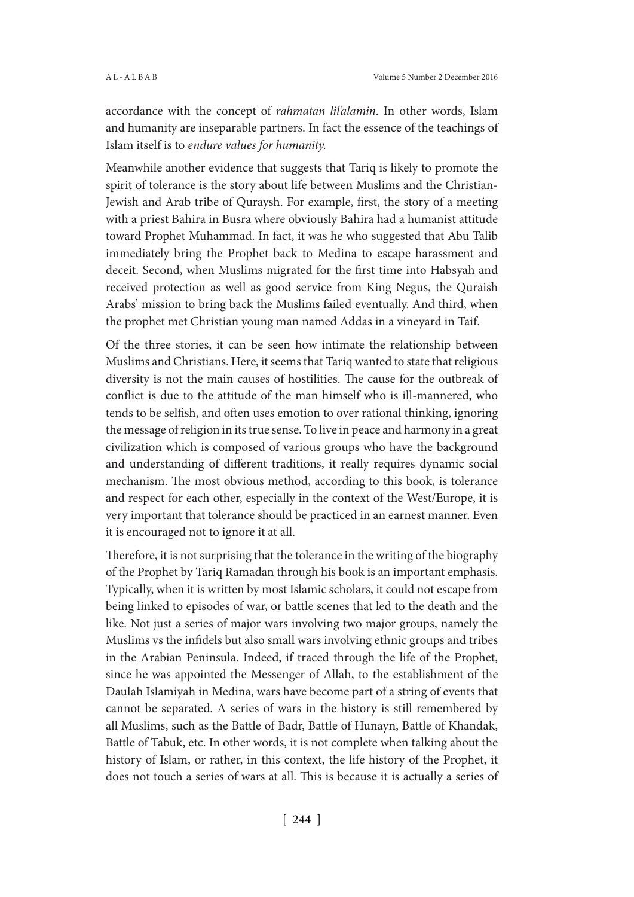accordance with the concept of *rahmatan lil'alamin*. In other words, Islam and humanity are inseparable partners. In fact the essence of the teachings of Islam itself is to *endure values for humanity.* 

Meanwhile another evidence that suggests that Tariq is likely to promote the spirit of tolerance is the story about life between Muslims and the Christian-Jewish and Arab tribe of Quraysh. For example, first, the story of a meeting with a priest Bahira in Busra where obviously Bahira had a humanist attitude toward Prophet Muhammad. In fact, it was he who suggested that Abu Talib immediately bring the Prophet back to Medina to escape harassment and deceit. Second, when Muslims migrated for the first time into Habsyah and received protection as well as good service from King Negus, the Quraish Arabs' mission to bring back the Muslims failed eventually. And third, when the prophet met Christian young man named Addas in a vineyard in Taif.

Of the three stories, it can be seen how intimate the relationship between Muslims and Christians. Here, it seems that Tariq wanted to state that religious diversity is not the main causes of hostilities. The cause for the outbreak of conflict is due to the attitude of the man himself who is ill-mannered, who tends to be selfish, and often uses emotion to over rational thinking, ignoring the message of religion in its true sense. To live in peace and harmony in a great civilization which is composed of various groups who have the background and understanding of different traditions, it really requires dynamic social mechanism. The most obvious method, according to this book, is tolerance and respect for each other, especially in the context of the West/Europe, it is very important that tolerance should be practiced in an earnest manner. Even it is encouraged not to ignore it at all.

Therefore, it is not surprising that the tolerance in the writing of the biography of the Prophet by Tariq Ramadan through his book is an important emphasis. Typically, when it is written by most Islamic scholars, it could not escape from being linked to episodes of war, or battle scenes that led to the death and the like. Not just a series of major wars involving two major groups, namely the Muslims vs the infidels but also small wars involving ethnic groups and tribes in the Arabian Peninsula. Indeed, if traced through the life of the Prophet, since he was appointed the Messenger of Allah, to the establishment of the Daulah Islamiyah in Medina, wars have become part of a string of events that cannot be separated. A series of wars in the history is still remembered by all Muslims, such as the Battle of Badr, Battle of Hunayn, Battle of Khandak, Battle of Tabuk, etc. In other words, it is not complete when talking about the history of Islam, or rather, in this context, the life history of the Prophet, it does not touch a series of wars at all. This is because it is actually a series of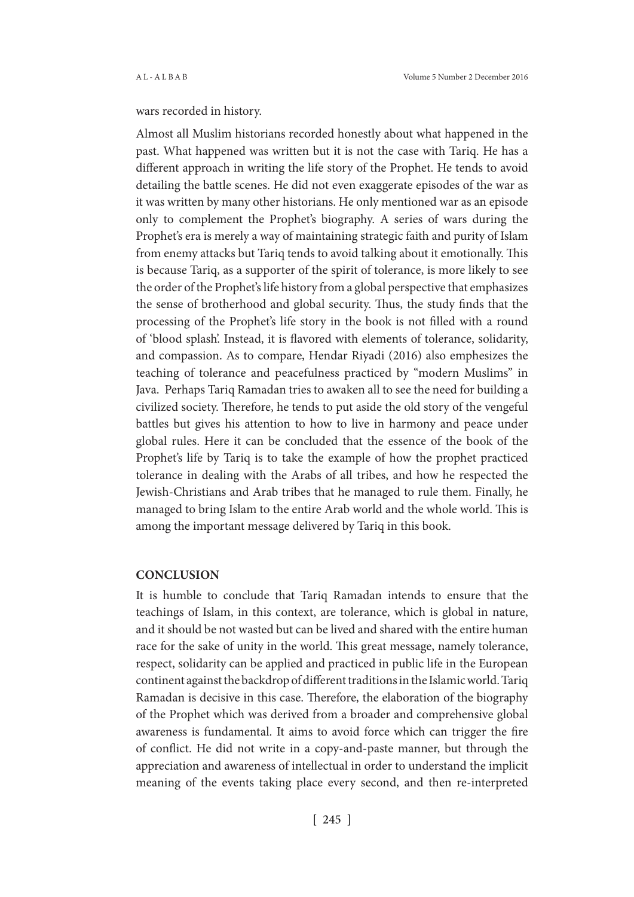## wars recorded in history.

Almost all Muslim historians recorded honestly about what happened in the past. What happened was written but it is not the case with Tariq. He has a different approach in writing the life story of the Prophet. He tends to avoid detailing the battle scenes. He did not even exaggerate episodes of the war as it was written by many other historians. He only mentioned war as an episode only to complement the Prophet's biography. A series of wars during the Prophet's era is merely a way of maintaining strategic faith and purity of Islam from enemy attacks but Tariq tends to avoid talking about it emotionally. This is because Tariq, as a supporter of the spirit of tolerance, is more likely to see the order of the Prophet's life history from a global perspective that emphasizes the sense of brotherhood and global security. Thus, the study finds that the processing of the Prophet's life story in the book is not filled with a round of 'blood splash'. Instead, it is flavored with elements of tolerance, solidarity, and compassion. As to compare, Hendar Riyadi (2016) also emphesizes the teaching of tolerance and peacefulness practiced by "modern Muslims" in Java. Perhaps Tariq Ramadan tries to awaken all to see the need for building a civilized society. Therefore, he tends to put aside the old story of the vengeful battles but gives his attention to how to live in harmony and peace under global rules. Here it can be concluded that the essence of the book of the Prophet's life by Tariq is to take the example of how the prophet practiced tolerance in dealing with the Arabs of all tribes, and how he respected the Jewish-Christians and Arab tribes that he managed to rule them. Finally, he managed to bring Islam to the entire Arab world and the whole world. This is among the important message delivered by Tariq in this book.

#### **CONCLUSION**

It is humble to conclude that Tariq Ramadan intends to ensure that the teachings of Islam, in this context, are tolerance, which is global in nature, and it should be not wasted but can be lived and shared with the entire human race for the sake of unity in the world. This great message, namely tolerance, respect, solidarity can be applied and practiced in public life in the European continent against the backdrop of different traditions in the Islamic world. Tariq Ramadan is decisive in this case. Therefore, the elaboration of the biography of the Prophet which was derived from a broader and comprehensive global awareness is fundamental. It aims to avoid force which can trigger the fire of conflict. He did not write in a copy-and-paste manner, but through the appreciation and awareness of intellectual in order to understand the implicit meaning of the events taking place every second, and then re-interpreted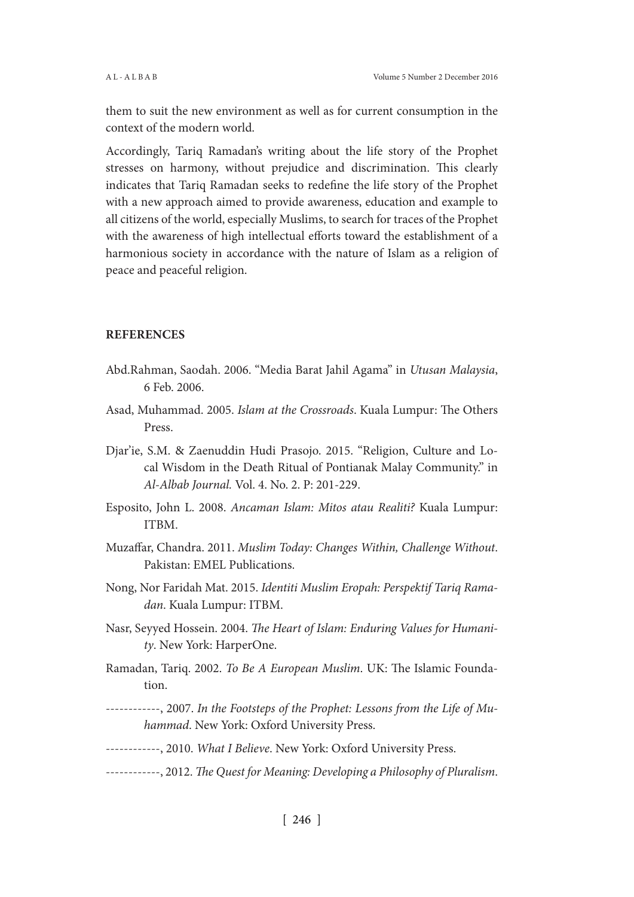them to suit the new environment as well as for current consumption in the context of the modern world.

Accordingly, Tariq Ramadan's writing about the life story of the Prophet stresses on harmony, without prejudice and discrimination. This clearly indicates that Tariq Ramadan seeks to redefine the life story of the Prophet with a new approach aimed to provide awareness, education and example to all citizens of the world, especially Muslims, to search for traces of the Prophet with the awareness of high intellectual efforts toward the establishment of a harmonious society in accordance with the nature of Islam as a religion of peace and peaceful religion.

## **REFERENCES**

- Abd.Rahman, Saodah. 2006. "Media Barat Jahil Agama" in *Utusan Malaysia*, 6 Feb. 2006.
- Asad, Muhammad. 2005. *Islam at the Crossroads*. Kuala Lumpur: The Others Press.
- Djar'ie, S.M. & Zaenuddin Hudi Prasojo. 2015. "Religion, Culture and Local Wisdom in the Death Ritual of Pontianak Malay Community." in *Al-Albab Journal.* Vol. 4. No. 2. P: 201-229.
- Esposito, John L. 2008. *Ancaman Islam: Mitos atau Realiti?* Kuala Lumpur: ITBM.
- Muzaffar, Chandra. 2011. *Muslim Today: Changes Within, Challenge Without*. Pakistan: EMEL Publications.
- Nong, Nor Faridah Mat. 2015. *Identiti Muslim Eropah: Perspektif Tariq Ramadan*. Kuala Lumpur: ITBM.
- Nasr, Seyyed Hossein. 2004. *The Heart of Islam: Enduring Values for Humanity*. New York: HarperOne.
- Ramadan, Tariq. 2002. *To Be A European Muslim*. UK: The Islamic Foundation.
- ------------, 2007. *In the Footsteps of the Prophet: Lessons from the Life of Muhammad*. New York: Oxford University Press.
- ------------, 2010. *What I Believe*. New York: Oxford University Press.
- ------------, 2012. *The Quest for Meaning: Developing a Philosophy of Pluralism*.